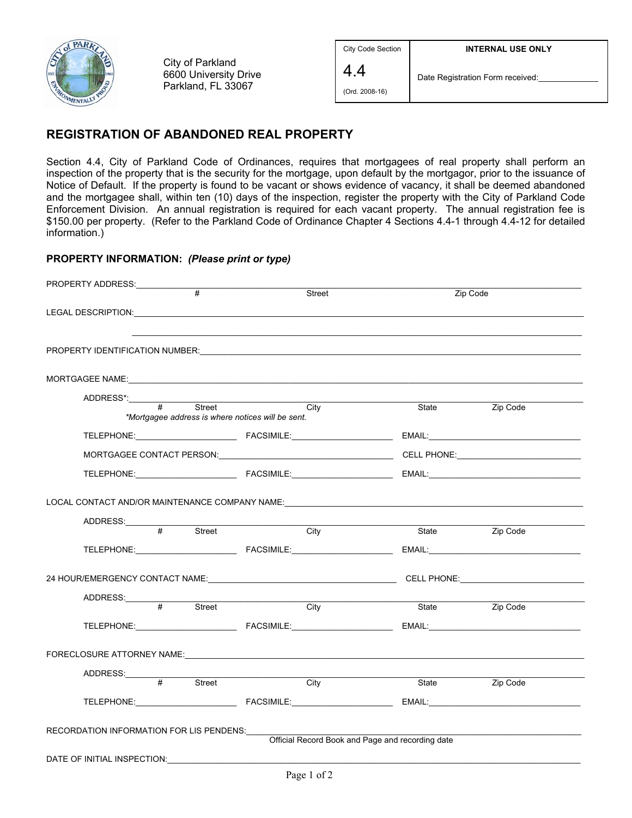

City of Parkland 6600 University Drive Parkland, FL 33067

| City Code Section | <b>INTERNAL USE ONLY</b>         |  |  |  |
|-------------------|----------------------------------|--|--|--|
| 4.4               | Date Registration Form received: |  |  |  |
| (Ord. 2008-16)    |                                  |  |  |  |

## **REGISTRATION OF ABANDONED REAL PROPERTY**

Section 4.4, City of Parkland Code of Ordinances, requires that mortgagees of real property shall perform an inspection of the property that is the security for the mortgage, upon default by the mortgagor, prior to the issuance of Notice of Default. If the property is found to be vacant or shows evidence of vacancy, it shall be deemed abandoned and the mortgagee shall, within ten (10) days of the inspection, register the property with the City of Parkland Code Enforcement Division. An annual registration is required for each vacant property. The annual registration fee is \$150.00 per property. (Refer to the Parkland Code of Ordinance Chapter 4 Sections 4.4-1 through 4.4-12 for detailed information.)

**PROPERTY INFORMATION:** *(Please print or type)*

|                                                                                              | PROPERTY ADDRESS: |  |                |                                                                                                                                                                                                                                      |        |       |          |  |
|----------------------------------------------------------------------------------------------|-------------------|--|----------------|--------------------------------------------------------------------------------------------------------------------------------------------------------------------------------------------------------------------------------------|--------|-------|----------|--|
|                                                                                              |                   |  | $\overline{t}$ |                                                                                                                                                                                                                                      | Street |       | Zip Code |  |
|                                                                                              |                   |  |                |                                                                                                                                                                                                                                      |        |       |          |  |
|                                                                                              |                   |  |                |                                                                                                                                                                                                                                      |        |       |          |  |
|                                                                                              |                   |  |                |                                                                                                                                                                                                                                      |        |       |          |  |
|                                                                                              |                   |  |                |                                                                                                                                                                                                                                      |        |       |          |  |
|                                                                                              |                   |  |                |                                                                                                                                                                                                                                      |        |       |          |  |
|                                                                                              |                   |  |                |                                                                                                                                                                                                                                      |        |       |          |  |
|                                                                                              |                   |  |                |                                                                                                                                                                                                                                      |        | State | Zip Code |  |
| *Mortgagee address is where notices will be sent.                                            |                   |  |                |                                                                                                                                                                                                                                      |        |       |          |  |
|                                                                                              |                   |  |                |                                                                                                                                                                                                                                      |        |       |          |  |
|                                                                                              |                   |  |                |                                                                                                                                                                                                                                      |        |       |          |  |
|                                                                                              |                   |  |                |                                                                                                                                                                                                                                      |        |       |          |  |
|                                                                                              |                   |  |                |                                                                                                                                                                                                                                      |        |       |          |  |
|                                                                                              |                   |  |                |                                                                                                                                                                                                                                      |        |       |          |  |
|                                                                                              |                   |  |                |                                                                                                                                                                                                                                      |        |       |          |  |
|                                                                                              | ADDRESS: # Street |  |                | <b>City</b>                                                                                                                                                                                                                          |        | State | Zip Code |  |
|                                                                                              |                   |  |                |                                                                                                                                                                                                                                      |        |       |          |  |
|                                                                                              |                   |  |                |                                                                                                                                                                                                                                      |        |       |          |  |
|                                                                                              |                   |  |                |                                                                                                                                                                                                                                      |        |       |          |  |
|                                                                                              |                   |  |                |                                                                                                                                                                                                                                      |        |       |          |  |
|                                                                                              |                   |  | Street         |                                                                                                                                                                                                                                      | City   | State | Zip Code |  |
|                                                                                              |                   |  |                |                                                                                                                                                                                                                                      |        |       |          |  |
|                                                                                              |                   |  |                |                                                                                                                                                                                                                                      |        |       |          |  |
|                                                                                              |                   |  |                |                                                                                                                                                                                                                                      |        |       |          |  |
|                                                                                              |                   |  |                |                                                                                                                                                                                                                                      |        |       |          |  |
|                                                                                              |                   |  |                | Street City                                                                                                                                                                                                                          |        | State | Zip Code |  |
|                                                                                              |                   |  |                |                                                                                                                                                                                                                                      |        |       |          |  |
|                                                                                              |                   |  |                |                                                                                                                                                                                                                                      |        |       |          |  |
| RECORDATION INFORMATION FOR LIS PENDENS:<br>Official Record Book and Page and recording date |                   |  |                |                                                                                                                                                                                                                                      |        |       |          |  |
|                                                                                              |                   |  |                |                                                                                                                                                                                                                                      |        |       |          |  |
|                                                                                              |                   |  |                | DATE OF INITIAL INSPECTION: <b>Analysis of the Contract Of Indian International Contract Of Indian International Contract Of Indian International Contract Of Indian International Contract Of Indian International Contract Of </b> |        |       |          |  |